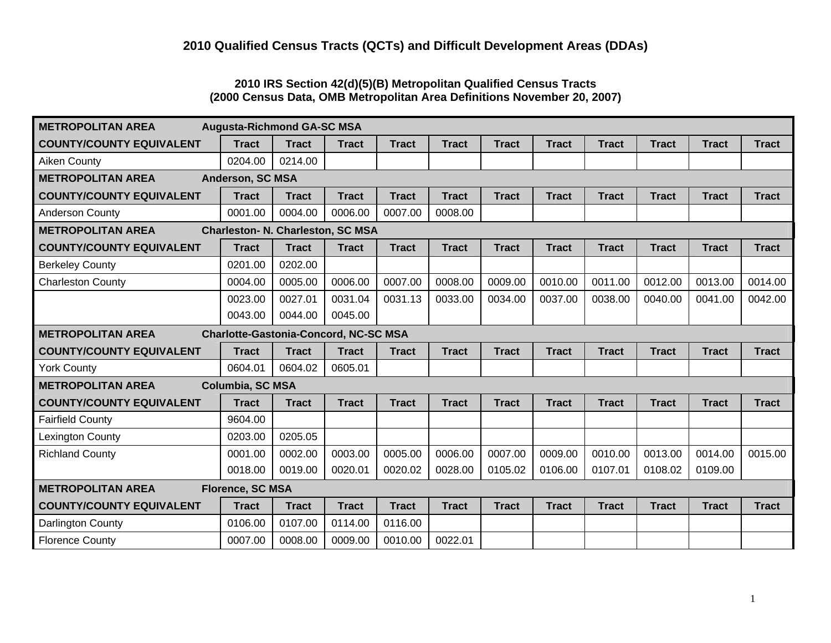# **2010 IRS Section 42(d)(5)(B) Metropolitan Qualified Census Tracts (2000 Census Data, OMB Metropolitan Area Definitions November 20, 2007)**

| <b>METROPOLITAN AREA</b>                                             | <b>Augusta-Richmond GA-SC MSA</b>            |              |              |              |              |              |              |              |              |              |              |
|----------------------------------------------------------------------|----------------------------------------------|--------------|--------------|--------------|--------------|--------------|--------------|--------------|--------------|--------------|--------------|
| <b>COUNTY/COUNTY EQUIVALENT</b>                                      | <b>Tract</b>                                 | <b>Tract</b> | <b>Tract</b> | <b>Tract</b> | <b>Tract</b> | <b>Tract</b> | <b>Tract</b> | <b>Tract</b> | <b>Tract</b> | <b>Tract</b> | <b>Tract</b> |
| <b>Aiken County</b>                                                  | 0204.00                                      | 0214.00      |              |              |              |              |              |              |              |              |              |
| <b>METROPOLITAN AREA</b><br>Anderson, SC MSA                         |                                              |              |              |              |              |              |              |              |              |              |              |
| <b>COUNTY/COUNTY EQUIVALENT</b>                                      | <b>Tract</b>                                 | <b>Tract</b> | <b>Tract</b> | <b>Tract</b> | <b>Tract</b> | <b>Tract</b> | <b>Tract</b> | <b>Tract</b> | <b>Tract</b> | <b>Tract</b> | <b>Tract</b> |
| <b>Anderson County</b>                                               | 0001.00                                      | 0004.00      | 0006.00      | 0007.00      | 0008.00      |              |              |              |              |              |              |
| <b>METROPOLITAN AREA</b><br><b>Charleston- N. Charleston, SC MSA</b> |                                              |              |              |              |              |              |              |              |              |              |              |
| <b>COUNTY/COUNTY EQUIVALENT</b>                                      | <b>Tract</b>                                 | <b>Tract</b> | <b>Tract</b> | <b>Tract</b> | <b>Tract</b> | <b>Tract</b> | <b>Tract</b> | <b>Tract</b> | <b>Tract</b> | <b>Tract</b> | <b>Tract</b> |
| <b>Berkeley County</b>                                               | 0201.00                                      | 0202.00      |              |              |              |              |              |              |              |              |              |
| <b>Charleston County</b>                                             | 0004.00                                      | 0005.00      | 0006.00      | 0007.00      | 0008.00      | 0009.00      | 0010.00      | 0011.00      | 0012.00      | 0013.00      | 0014.00      |
|                                                                      | 0023.00                                      | 0027.01      | 0031.04      | 0031.13      | 0033.00      | 0034.00      | 0037.00      | 0038.00      | 0040.00      | 0041.00      | 0042.00      |
|                                                                      | 0043.00                                      | 0044.00      | 0045.00      |              |              |              |              |              |              |              |              |
| <b>METROPOLITAN AREA</b>                                             | <b>Charlotte-Gastonia-Concord, NC-SC MSA</b> |              |              |              |              |              |              |              |              |              |              |
| <b>COUNTY/COUNTY EQUIVALENT</b>                                      | <b>Tract</b>                                 | <b>Tract</b> | <b>Tract</b> | <b>Tract</b> | <b>Tract</b> | <b>Tract</b> | <b>Tract</b> | <b>Tract</b> | <b>Tract</b> | <b>Tract</b> | <b>Tract</b> |
| <b>York County</b>                                                   | 0604.01                                      | 0604.02      | 0605.01      |              |              |              |              |              |              |              |              |
| <b>METROPOLITAN AREA</b>                                             | Columbia, SC MSA                             |              |              |              |              |              |              |              |              |              |              |
| <b>COUNTY/COUNTY EQUIVALENT</b>                                      | <b>Tract</b>                                 | <b>Tract</b> | <b>Tract</b> | <b>Tract</b> | <b>Tract</b> | <b>Tract</b> | <b>Tract</b> | <b>Tract</b> | <b>Tract</b> | <b>Tract</b> | <b>Tract</b> |
| <b>Fairfield County</b>                                              | 9604.00                                      |              |              |              |              |              |              |              |              |              |              |
| <b>Lexington County</b>                                              | 0203.00                                      | 0205.05      |              |              |              |              |              |              |              |              |              |
| <b>Richland County</b>                                               | 0001.00                                      | 0002.00      | 0003.00      | 0005.00      | 0006.00      | 0007.00      | 0009.00      | 0010.00      | 0013.00      | 0014.00      | 0015.00      |
|                                                                      | 0018.00                                      | 0019.00      | 0020.01      | 0020.02      | 0028.00      | 0105.02      | 0106.00      | 0107.01      | 0108.02      | 0109.00      |              |
| <b>METROPOLITAN AREA</b><br><b>Florence, SC MSA</b>                  |                                              |              |              |              |              |              |              |              |              |              |              |
| <b>COUNTY/COUNTY EQUIVALENT</b>                                      | <b>Tract</b>                                 | <b>Tract</b> | <b>Tract</b> | <b>Tract</b> | <b>Tract</b> | <b>Tract</b> | <b>Tract</b> | <b>Tract</b> | <b>Tract</b> | <b>Tract</b> | <b>Tract</b> |
| Darlington County                                                    | 0106.00                                      | 0107.00      | 0114.00      | 0116.00      |              |              |              |              |              |              |              |
| <b>Florence County</b>                                               | 0007.00                                      | 0008.00      | 0009.00      | 0010.00      | 0022.01      |              |              |              |              |              |              |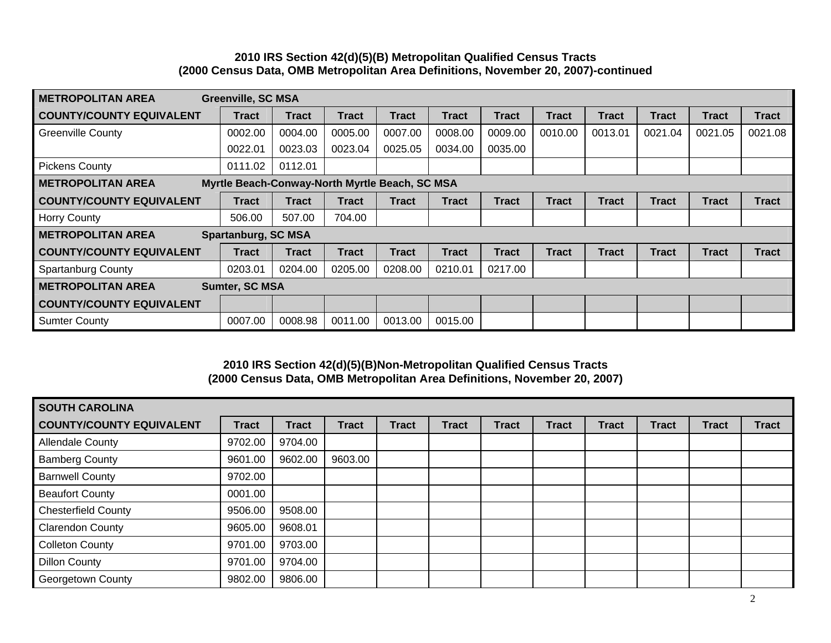### **2010 IRS Section 42(d)(5)(B) Metropolitan Qualified Census Tracts (2000 Census Data, OMB Metropolitan Area Definitions, November 20, 2007)-continued**

| <b>METROPOLITAN AREA</b>                                                   | <b>Greenville, SC MSA</b>  |              |              |              |              |              |              |              |              |              |              |
|----------------------------------------------------------------------------|----------------------------|--------------|--------------|--------------|--------------|--------------|--------------|--------------|--------------|--------------|--------------|
| <b>COUNTY/COUNTY EQUIVALENT</b>                                            | <b>Tract</b>               | <b>Tract</b> | <b>Tract</b> | <b>Tract</b> | Tract        | <b>Tract</b> | <b>Tract</b> | <b>Tract</b> | <b>Tract</b> | <b>Tract</b> | <b>Tract</b> |
| <b>Greenville County</b>                                                   | 0002.00                    | 0004.00      | 0005.00      | 0007.00      | 0008.00      | 0009.00      | 0010.00      | 0013.01      | 0021.04      | 0021.05      | 0021.08      |
|                                                                            | 0022.01                    | 0023.03      | 0023.04      | 0025.05      | 0034.00      | 0035.00      |              |              |              |              |              |
| <b>Pickens County</b>                                                      | 0111.02                    | 0112.01      |              |              |              |              |              |              |              |              |              |
| Myrtle Beach-Conway-North Myrtle Beach, SC MSA<br><b>METROPOLITAN AREA</b> |                            |              |              |              |              |              |              |              |              |              |              |
| <b>COUNTY/COUNTY EQUIVALENT</b>                                            | <b>Tract</b>               | <b>Tract</b> | <b>Tract</b> | <b>Tract</b> | <b>Tract</b> | <b>Tract</b> | Tract        | <b>Tract</b> | <b>Tract</b> | <b>Tract</b> | <b>Tract</b> |
| <b>Horry County</b>                                                        | 506.00                     | 507.00       | 704.00       |              |              |              |              |              |              |              |              |
| <b>METROPOLITAN AREA</b>                                                   | <b>Spartanburg, SC MSA</b> |              |              |              |              |              |              |              |              |              |              |
| <b>COUNTY/COUNTY EQUIVALENT</b>                                            | <b>Tract</b>               | <b>Tract</b> | <b>Tract</b> | <b>Tract</b> | Tract        | <b>Tract</b> | Tract        | <b>Tract</b> | <b>Tract</b> | <b>Tract</b> | <b>Tract</b> |
| <b>Spartanburg County</b>                                                  | 0203.01                    | 0204.00      | 0205.00      | 0208.00      | 0210.01      | 0217.00      |              |              |              |              |              |
| Sumter, SC MSA<br><b>METROPOLITAN AREA</b>                                 |                            |              |              |              |              |              |              |              |              |              |              |
| <b>COUNTY/COUNTY EQUIVALENT</b>                                            |                            |              |              |              |              |              |              |              |              |              |              |
| <b>Sumter County</b>                                                       | 0007.00                    | 0008.98      | 0011.00      | 0013.00      | 0015.00      |              |              |              |              |              |              |

### **2010 IRS Section 42(d)(5)(B)Non-Metropolitan Qualified Census Tracts (2000 Census Data, OMB Metropolitan Area Definitions, November 20, 2007)**

| <b>SOUTH CAROLINA</b>           |              |              |              |              |              |              |              |       |              |              |              |
|---------------------------------|--------------|--------------|--------------|--------------|--------------|--------------|--------------|-------|--------------|--------------|--------------|
| <b>COUNTY/COUNTY EQUIVALENT</b> | <b>Tract</b> | <b>Tract</b> | <b>Tract</b> | <b>Tract</b> | <b>Tract</b> | <b>Tract</b> | <b>Tract</b> | Tract | <b>Tract</b> | <b>Tract</b> | <b>Tract</b> |
| <b>Allendale County</b>         | 9702.00      | 9704.00      |              |              |              |              |              |       |              |              |              |
| <b>Bamberg County</b>           | 9601.00      | 9602.00      | 9603.00      |              |              |              |              |       |              |              |              |
| <b>Barnwell County</b>          | 9702.00      |              |              |              |              |              |              |       |              |              |              |
| <b>Beaufort County</b>          | 0001.00      |              |              |              |              |              |              |       |              |              |              |
| <b>Chesterfield County</b>      | 9506.00      | 9508.00      |              |              |              |              |              |       |              |              |              |
| <b>Clarendon County</b>         | 9605.00      | 9608.01      |              |              |              |              |              |       |              |              |              |
| <b>Colleton County</b>          | 9701.00      | 9703.00      |              |              |              |              |              |       |              |              |              |
| <b>Dillon County</b>            | 9701.00      | 9704.00      |              |              |              |              |              |       |              |              |              |
| Georgetown County               | 9802.00      | 9806.00      |              |              |              |              |              |       |              |              |              |